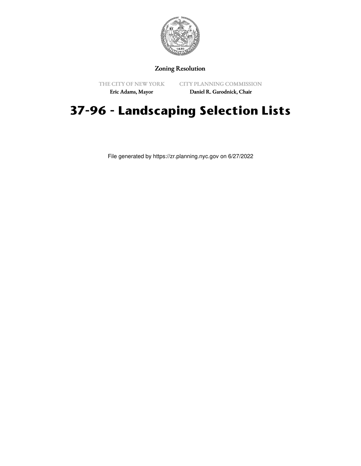

#### Zoning Resolution

THE CITY OF NEW YORK

CITY PLANNING COMMISSION

Eric Adams, Mayor

Daniel R. Garodnick, Chair

# **37-96 - Landscaping Selection Lists**

File generated by https://zr.planning.nyc.gov on 6/27/2022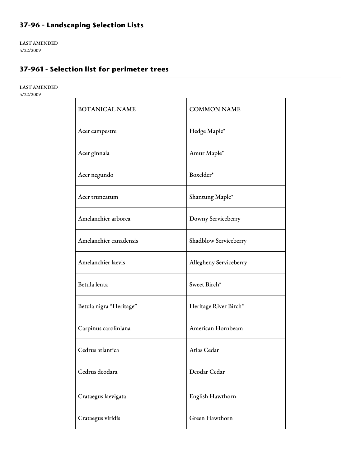## **37-96 - Landscaping Selection Lists**

LAST AMENDED 4/22/2009

### **37-961 - Selection list for perimeter trees**

LAST AMENDED 4/22/2009

| <b>BOTANICAL NAME</b>   | <b>COMMON NAME</b>     |
|-------------------------|------------------------|
| Acer campestre          | Hedge Maple*           |
| Acer ginnala            | Amur Maple*            |
| Acer negundo            | Boxelder*              |
| Acer truncatum          | Shantung Maple*        |
| Amelanchier arborea     | Downy Serviceberry     |
| Amelanchier canadensis  | Shadblow Serviceberry  |
| Amelanchier laevis      | Allegheny Serviceberry |
| Betula lenta            | Sweet Birch*           |
| Betula nigra "Heritage" | Heritage River Birch*  |
| Carpinus caroliniana    | American Hornbeam      |
| Cedrus atlantica        | Atlas Cedar            |
| Cedrus deodara          | Deodar Cedar           |
| Crataegus laevigata     | English Hawthorn       |
| Crataegus viridis       | Green Hawthorn         |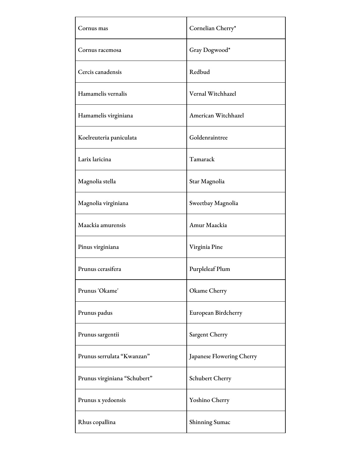| Cornus mas                   | Cornelian Cherry*         |
|------------------------------|---------------------------|
| Cornus racemosa              | Gray Dogwood*             |
| Cercis canadensis            | Redbud                    |
| Hamamelis vernalis           | Vernal Witchhazel         |
| Hamamelis virginiana         | American Witchhazel       |
| Koelreuteria paniculata      | Goldenraintree            |
| Larix laricina               | Tamarack                  |
| Magnolia stella              | Star Magnolia             |
| Magnolia virginiana          | Sweetbay Magnolia         |
| Maackia amurensis            | Amur Maackia              |
| Pinus virginiana             | Virginia Pine             |
| Prunus cerasifera            | Purpleleaf Plum           |
| Prunus 'Okame'               | Okame Cherry              |
| Prunus padus                 | European Birdcherry       |
| Prunus sargentii             | Sargent Cherry            |
| Prunus serrulata "Kwanzan"   | Japanese Flowering Cherry |
| Prunus virginiana "Schubert" | Schubert Cherry           |
| Prunus x yedoensis           | Yoshino Cherry            |
| Rhus copallina               | <b>Shinning Sumac</b>     |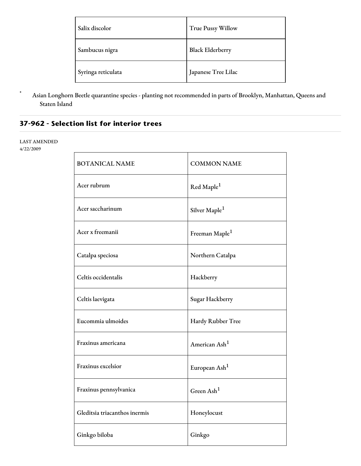| Salix discolor     | True Pussy Willow       |
|--------------------|-------------------------|
| Sambucus nigra     | <b>Black Elderberry</b> |
| Syringa reticulata | Japanese Tree Lilac     |

\* Asian Longhorn Beetle quarantine species - planting not recommended in parts of Brooklyn, Manhattan, Queens and Staten Island

#### **37-962 - Selection list for interior trees**

#### LAST AMENDED

4/22/2009

| <b>BOTANICAL NAME</b>         | <b>COMMON NAME</b>         |
|-------------------------------|----------------------------|
| Acer rubrum                   | Red Maple <sup>1</sup>     |
| Acer saccharinum              | Silver Maple <sup>1</sup>  |
| Acer x freemanii              | Freeman Maple <sup>1</sup> |
| Catalpa speciosa              | Northern Catalpa           |
| Celtis occidentalis           | Hackberry                  |
| Celtis laevigata              | Sugar Hackberry            |
| Eucommia ulmoides             | Hardy Rubber Tree          |
| Fraxinus americana            | American Ash <sup>1</sup>  |
| Fraxinus excelsior            | European Ash <sup>1</sup>  |
| Fraxinus pennsylvanica        | Green $\text{Ash}^1$       |
| Gleditsia triacanthos inermis | Honeylocust                |
| Ginkgo biloba                 | Ginkgo                     |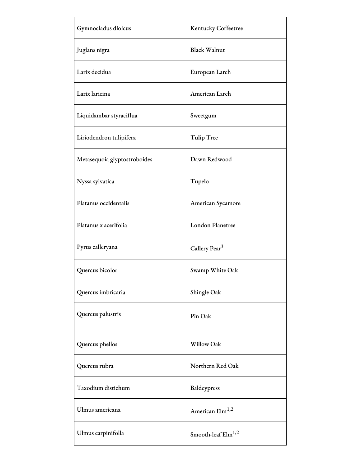| Gymnocladus dioicus          | Kentucky Coffeetree            |
|------------------------------|--------------------------------|
| Juglans nigra                | <b>Black Walnut</b>            |
| Larix decidua                | European Larch                 |
| Larix laricina               | American Larch                 |
| Liquidambar styraciflua      | Sweetgum                       |
| Liriodendron tulipifera      | Tulip Tree                     |
| Metasequoia glyptostroboides | Dawn Redwood                   |
| Nyssa sylvatica              | Tupelo                         |
| Platanus occidentalis        | American Sycamore              |
| Platanus x acerifolia        | <b>London Planetree</b>        |
| Pyrus calleryana             | Callery Pear <sup>3</sup>      |
| Quercus bicolor              | Swamp White Oak                |
| Quercus imbricaria           | Shingle Oak                    |
| Quercus palustris            | Pin Oak                        |
| Quercus phellos              | Willow Oak                     |
| Quercus rubra                | Northern Red Oak               |
| Taxodium distichum           | Baldcypress                    |
| Ulmus americana              | American Elm <sup>1,2</sup>    |
| Ulmus carpinifolla           | Smooth-leaf Elm <sup>1,2</sup> |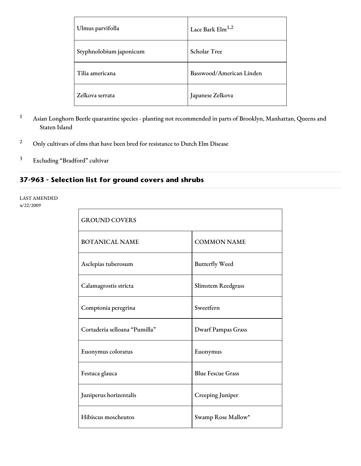| Ulmus parvifolla        | Lace Bark $\text{Elm}^{1,2}$ |
|-------------------------|------------------------------|
| Styphnolobium japonicum | Scholar Tree                 |
| Tilia americana         | Basswood/American Linden     |
| Zelkova serrata         | Japanese Zelkova             |

- <sup>1</sup> Asian Longhorn Beetle quarantine species planting not recommended in parts of Brooklyn, Manhattan, Queens and Staten Island
- <sup>2</sup> Only cultivars of elms that have been bred for resistance to Dutch Elm Disease
- <sup>3</sup> Excluding "Bradford" cultivar

#### **37-963 - Selection list for ground covers and shrubs**

#### LAST AMENDED 4/22/2009

| <b>GROUND COVERS</b>          |                           |
|-------------------------------|---------------------------|
| <b>BOTANICAL NAME</b>         | <b>COMMON NAME</b>        |
| Asclepias tuberosum           | <b>Butterfly Weed</b>     |
| Calamagrostis stricta         | Slimstem Reedgrass        |
| Comptonia peregrina           | Sweetfern                 |
| Cortaderia selloana "Pumilla" | <b>Dwarf Pampas Grass</b> |
| Euonymus coloratus            | Euonymus                  |
| Festuca glauca                | <b>Blue Fescue Grass</b>  |
| Juniperus horizentalis        | Creeping Juniper          |
| Hibiscus moscheutos           | Swamp Rose Mallow*        |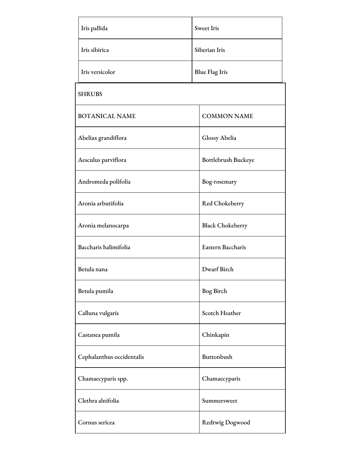| Iris pallida              | <b>Sweet Iris</b>       |
|---------------------------|-------------------------|
| Iris sibirica             | Siberian Iris           |
| Iris versicolor           | <b>Blue Flag Iris</b>   |
| <b>SHRUBS</b>             |                         |
| <b>BOTANICAL NAME</b>     | <b>COMMON NAME</b>      |
| Abeliax grandiflora       | Glossy Abelia           |
| Aesculus parviflora       | Bottlebrush Buckeye     |
| Andromeda polifolia       | Bog-rosemary            |
| Aronia arbutifolia        | Red Chokeberry          |
| Aronia melanocarpa        | <b>Black Chokeberry</b> |
| Baccharis halimifolia     | Eastern Baccharis       |
| Betula nana               | Dwarf Birch             |
| Betula pumila             | Bog Birch               |
| Calluna vulgaris          | Scotch Heather          |
| Castanea pumila           | Chinkapin               |
| Cephalanthus occidentalis | Buttonbush              |
| Chamaecyparis spp.        | Chamaecyparis           |
| Clethra alnifolia         | Summersweet             |
| Cornus sericea            | Redtwig Dogwood         |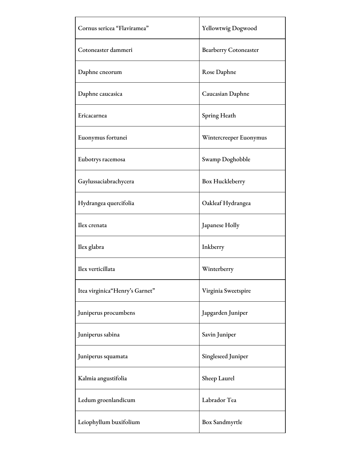| Cornus sericea "Flaviramea"    | Yellowtwig Dogwood           |
|--------------------------------|------------------------------|
| Cotoneaster dammeri            | <b>Bearberry Cotoneaster</b> |
| Daphne cneorum                 | Rose Daphne                  |
| Daphne caucasica               | Caucasian Daphne             |
| Ericacarnea                    | Spring Heath                 |
| Euonymus fortunei              | Wintercreeper Euonymus       |
| Eubotrys racemosa              | Swamp Doghobble              |
| Gaylussaciabrachycera          | Box Huckleberry              |
| Hydrangea quercifolia          | Oakleaf Hydrangea            |
| Ilex crenata                   | Japanese Holly               |
| Ilex glabra                    | Inkberry                     |
| Ilex verticillata              | Winterberry                  |
| Itea virginica"Henry's Garnet" | Virginia Sweetspire          |
| Juniperus procumbens           | Japgarden Juniper            |
| Juniperus sabina               | Savin Juniper                |
| Juniperus squamata             | Singleseed Juniper           |
| Kalmia angustifolia            | Sheep Laurel                 |
| Ledum groenlandicum            | Labrador Tea                 |
| Leiophyllum buxifolium         | Box Sandmyrtle               |